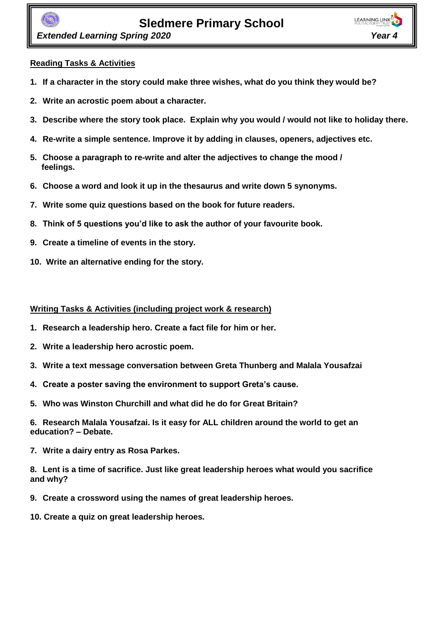**LEARNING LINK** 

 *Extended Learning Spring 2020 Year 4*

## **Reading Tasks & Activities**

- **1. If a character in the story could make three wishes, what do you think they would be?**
- **2. Write an acrostic poem about a character.**
- **3. Describe where the story took place. Explain why you would / would not like to holiday there.**
- **4. Re-write a simple sentence. Improve it by adding in clauses, openers, adjectives etc.**
- **5. Choose a paragraph to re-write and alter the adjectives to change the mood / feelings.**
- **6. Choose a word and look it up in the thesaurus and write down 5 synonyms.**
- **7. Write some quiz questions based on the book for future readers.**
- **8. Think of 5 questions you'd like to ask the author of your favourite book.**
- **9. Create a timeline of events in the story.**
- **10. Write an alternative ending for the story.**

#### **Writing Tasks & Activities (including project work & research)**

- **1. Research a leadership hero. Create a fact file for him or her.**
- **2. Write a leadership hero acrostic poem.**
- **3. Write a text message conversation between Greta Thunberg and Malala Yousafzai**
- **4. Create a poster saving the environment to support Greta's cause.**
- **5. Who was Winston Churchill and what did he do for Great Britain?**

**6. Research Malala Yousafzai. Is it easy for ALL children around the world to get an education? – Debate.** 

**7. Write a dairy entry as Rosa Parkes.**

**8. Lent is a time of sacrifice. Just like great leadership heroes what would you sacrifice and why?** 

- **9. Create a crossword using the names of great leadership heroes.**
- **10. Create a quiz on great leadership heroes.**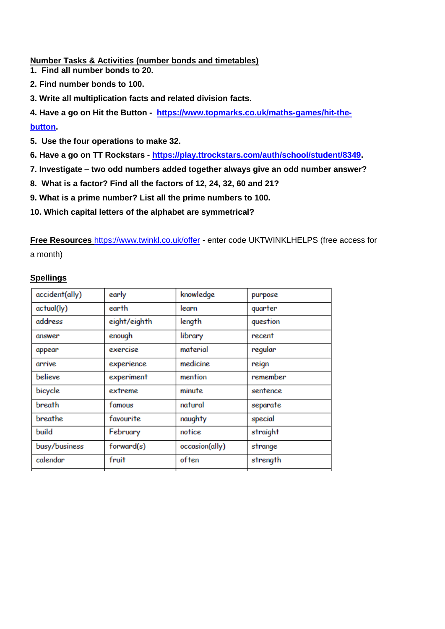**Number Tasks & Activities (number bonds and timetables)**

- **1. Find all number bonds to 20.**
- **2. Find number bonds to 100.**
- **3. Write all multiplication facts and related division facts.**
- **4. Have a go on Hit the Button [https://www.topmarks.co.uk/maths-games/hit-the-](https://www.topmarks.co.uk/maths-games/hit-the-button)**

### **[button.](https://www.topmarks.co.uk/maths-games/hit-the-button)**

- **5. Use the four operations to make 32.**
- **6. Have a go on TT Rockstars - [https://play.ttrockstars.com/auth/school/student/8349.](https://play.ttrockstars.com/auth/school/student/8349)**
- **7. Investigate – two odd numbers added together always give an odd number answer?**
- **8. What is a factor? Find all the factors of 12, 24, 32, 60 and 21?**
- **9. What is a prime number? List all the prime numbers to 100.**
- **10. Which capital letters of the alphabet are symmetrical?**

**Free Resources** <https://www.twinkl.co.uk/offer> - enter code UKTWINKLHELPS (free access for a month)

## **Spellings**

| accident(ally) | early        | knowledge      | purpose  |
|----------------|--------------|----------------|----------|
| actual(ly)     | earth        | learn          | quarter  |
| address        | eight/eighth | length         | question |
| answer         | enough       | library        | recent   |
| appear         | exercise     | material       | regular  |
| arrive         | experience   | medicine       | reign    |
| believe        | experiment   | mention        | remember |
| bicycle        | extreme      | minute         | sentence |
| breath         | famous       | natural        | separate |
| breathe        | favourite    | naughty        | special  |
| build          | February     | notice         | straight |
| busy/business  | forward(s)   | occasion(ally) | strange  |
| calendar       | fruit        | often          | strength |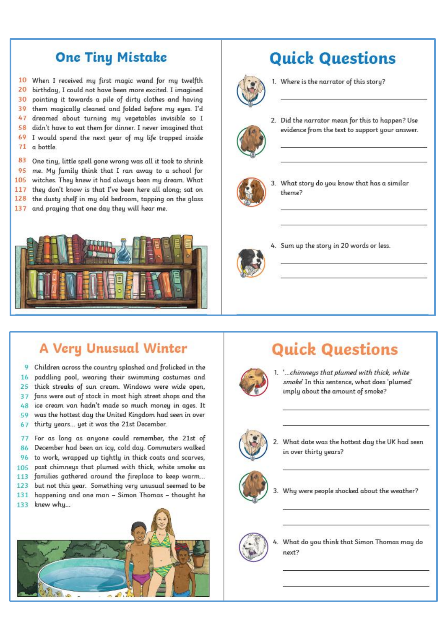## **One Tiny Mistake**

10 When I received my first magic wand for my twelfth 20 birthday, I could not have been more excited. I imagined 30 pointing it towards a pile of dirty clothes and having 39 them magically cleaned and folded before my eyes. I'd  $47$ dreamed about turning my vegetables invisible so I 58 didn't have to eat them for dinner. I never imagined that 69 I would spend the next year of my life trapped inside  $71$ a bottle.

83 One tiny, little spell gone wrong was all it took to shrink 95 me. My family think that I ran away to a school for witches. They knew it had always been my dream. What 105 they don't know is that I've been here all along; sat on  $117$ 128 the dusty shelf in my old bedroom, tapping on the glass 137 and praying that one day they will hear me.



# **Quick Questions**



1. Where is the narrator of this story?



2. Did the narrator mean for this to happen? Use evidence from the text to support your answer.



3. What story do you know that has a similar theme?



4. Sum up the story in 20 words or less.

## **A Very Unusual Winter**

Children across the countru splashed and frolicked in the  $\mathbf Q$ paddling pool, wearing their swimming costumes and 16 25 thick streaks of sun cream. Windows were wide open, fans were out of stock in most high street shops and the 37 ice cream van hadn't made so much money in ages. It  $48$ was the hottest day the United Kingdom had seen in over 59 thirty years... yet it was the 21st December. 67

For as long as anyone could remember, the 21st of  $77$ December had been an icy, cold day. Commuters walked 86 to work, wrapped up tightly in thick coats and scarves. 96 past chimneys that plumed with thick, white smoke as 105 families gathered around the fireplace to keep warm... 113 123 but not this year. Something very unusual seemed to be 131 happening and one man - Simon Thomas - thought he knew why... 133



# **Quick Questions**



1. '...chimneys that plumed with thick, white smoke' In this sentence, what does 'plumed' imply about the amount of smoke?



2. What date was the hottest day the UK had seen in over thirty years?



3. Why were people shocked about the weather?

What do you think that Simon Thomas may do next?